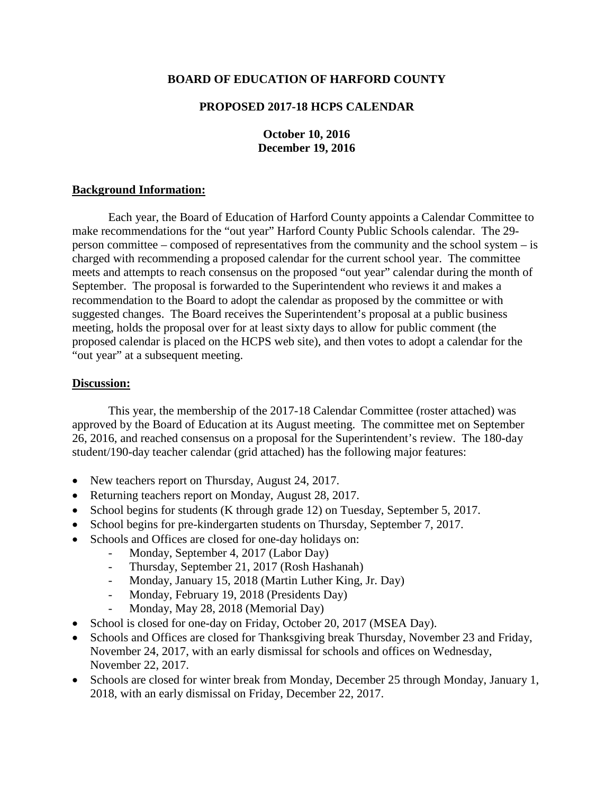### **BOARD OF EDUCATION OF HARFORD COUNTY**

# **PROPOSED 2017-18 HCPS CALENDAR**

# **October 10, 2016 December 19, 2016**

### **Background Information:**

Each year, the Board of Education of Harford County appoints a Calendar Committee to make recommendations for the "out year" Harford County Public Schools calendar. The 29 person committee – composed of representatives from the community and the school system – is charged with recommending a proposed calendar for the current school year. The committee meets and attempts to reach consensus on the proposed "out year" calendar during the month of September. The proposal is forwarded to the Superintendent who reviews it and makes a recommendation to the Board to adopt the calendar as proposed by the committee or with suggested changes. The Board receives the Superintendent's proposal at a public business meeting, holds the proposal over for at least sixty days to allow for public comment (the proposed calendar is placed on the HCPS web site), and then votes to adopt a calendar for the "out year" at a subsequent meeting.

#### **Discussion:**

This year, the membership of the 2017-18 Calendar Committee (roster attached) was approved by the Board of Education at its August meeting. The committee met on September 26, 2016, and reached consensus on a proposal for the Superintendent's review. The 180-day student/190-day teacher calendar (grid attached) has the following major features:

- New teachers report on Thursday, August 24, 2017.
- Returning teachers report on Monday, August 28, 2017.
- School begins for students (K through grade 12) on Tuesday, September 5, 2017.
- School begins for pre-kindergarten students on Thursday, September 7, 2017.
- Schools and Offices are closed for one-day holidays on:
	- Monday, September 4, 2017 (Labor Day)
	- Thursday, September 21, 2017 (Rosh Hashanah)
	- Monday, January 15, 2018 (Martin Luther King, Jr. Day)
	- Monday, February 19, 2018 (Presidents Day)
	- Monday, May 28, 2018 (Memorial Day)
- School is closed for one-day on Friday, October 20, 2017 (MSEA Day).
- Schools and Offices are closed for Thanksgiving break Thursday, November 23 and Friday, November 24, 2017, with an early dismissal for schools and offices on Wednesday, November 22, 2017.
- Schools are closed for winter break from Monday, December 25 through Monday, January 1, 2018, with an early dismissal on Friday, December 22, 2017.